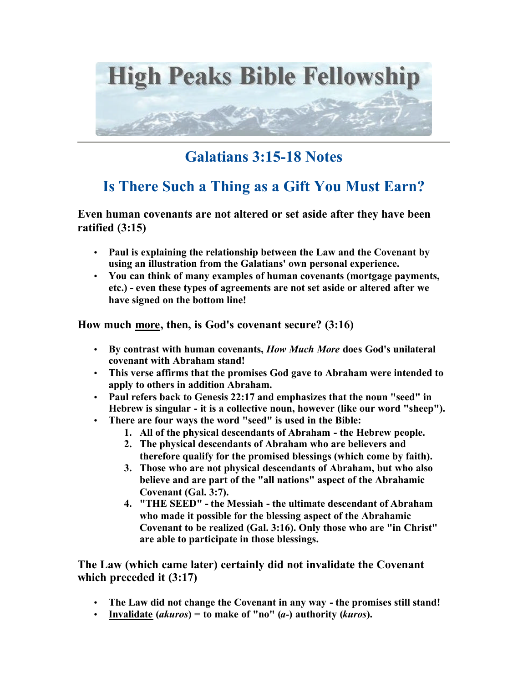

## **Galatians 3:15-18 Notes**

## **Is There Such a Thing as a Gift You Must Earn?**

**Even human covenants are not altered or set aside after they have been ratified (3:15)**

- **Paul is explaining the relationship between the Law and the Covenant by using an illustration from the Galatians' own personal experience.**
- **You can think of many examples of human covenants (mortgage payments, etc.) - even these types of agreements are not set aside or altered after we have signed on the bottom line!**

**How much more, then, is God's covenant secure? (3:16)**

- **By contrast with human covenants,** *How Much More* **does God's unilateral covenant with Abraham stand!**
- **This verse affirms that the promises God gave to Abraham were intended to apply to others in addition Abraham.**
- **Paul refers back to Genesis 22:17 and emphasizes that the noun "seed" in Hebrew is singular - it is a collective noun, however (like our word "sheep").**
- **There are four ways the word "seed" is used in the Bible:** 
	- **1. All of the physical descendants of Abraham the Hebrew people.**
	- **2. The physical descendants of Abraham who are believers and therefore qualify for the promised blessings (which come by faith).**
	- **3. Those who are not physical descendants of Abraham, but who also believe and are part of the "all nations" aspect of the Abrahamic Covenant (Gal. 3:7).**
	- **4. "THE SEED" the Messiah the ultimate descendant of Abraham who made it possible for the blessing aspect of the Abrahamic Covenant to be realized (Gal. 3:16). Only those who are "in Christ" are able to participate in those blessings.**

**The Law (which came later) certainly did not invalidate the Covenant which preceded it (3:17)**

- **The Law did not change the Covenant in any way the promises still stand!**
- **Invalidate (***akuros***) = to make of "no" (***a-***) authority (***kuros***).**